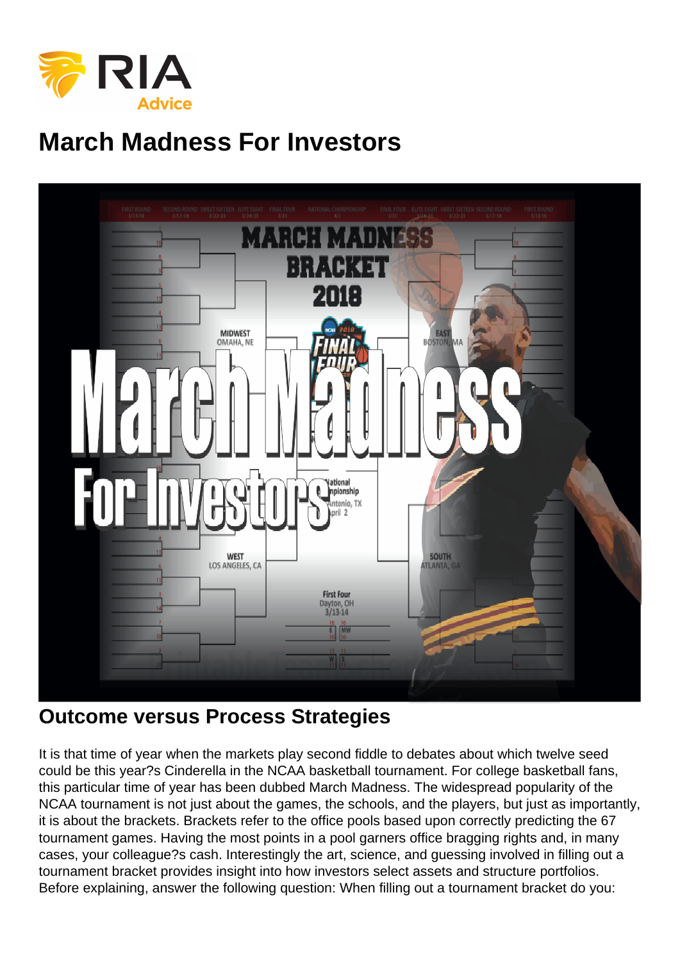# March Madness For Investors

#### Outcome versus Process Strategies

It is that time of year when the markets play second fiddle to debates about which twelve seed could be this year?s Cinderella in the NCAA basketball tournament. For college basketball fans, this particular time of year has been dubbed March Madness. The widespread popularity of the NCAA tournament is not just about the games, the schools, and the players, but just as importantly, it is about the brackets. Brackets refer to the office pools based upon correctly predicting the 67 tournament games. Having the most points in a pool garners office bragging rights and, in many cases, your colleague?s cash. Interestingly the art, science, and guessing involved in filling out a tournament bracket provides insight into how investors select assets and structure portfolios. Before explaining, answer the following question: When filling out a tournament bracket do you: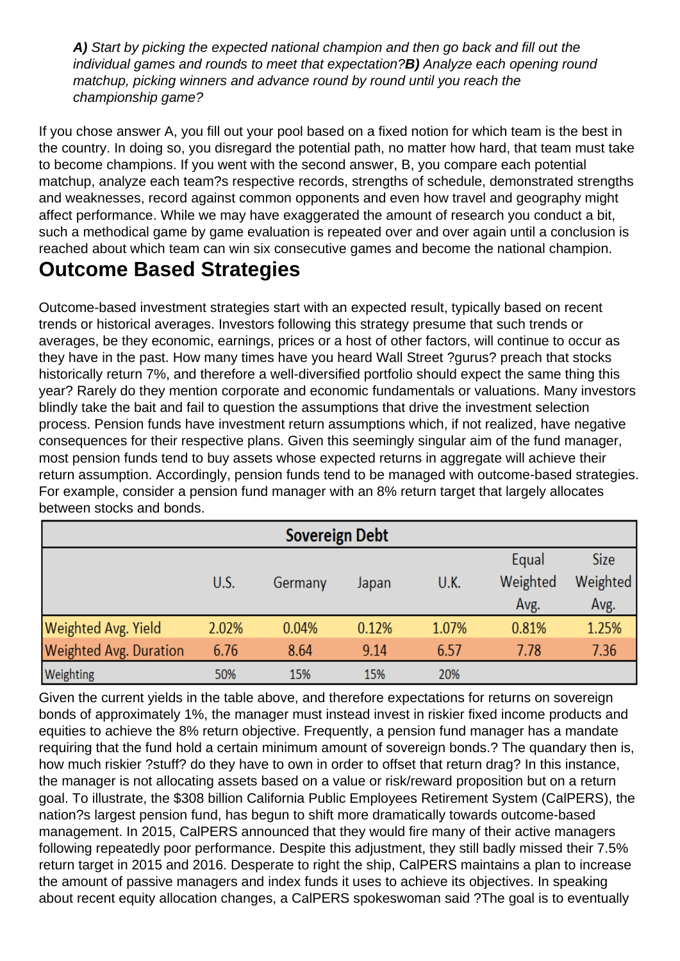A) Start by picking the expected national champion and then go back and fill out the individual games and rounds to meet that expectation?B) Analyze each opening round matchup, picking winners and advance round by round until you reach the championship game?

If you chose answer A, you fill out your pool based on a fixed notion for which team is the best in the country. In doing so, you disregard the potential path, no matter how hard, that team must take to become champions. If you went with the second answer, B, you compare each potential matchup, analyze each team?s respective records, strengths of schedule, demonstrated strengths and weaknesses, record against common opponents and even how travel and geography might affect performance. While we may have exaggerated the amount of research you conduct a bit, such a methodical game by game evaluation is repeated over and over again until a conclusion is reached about which team can win six consecutive games and become the national champion.

### Outcome Based Strategies

Outcome-based investment strategies start with an expected result, typically based on recent trends or historical averages. Investors following this strategy presume that such trends or averages, be they economic, earnings, prices or a host of other factors, will continue to occur as they have in the past. How many times have you heard Wall Street ?gurus? preach that stocks historically return 7%, and therefore a well-diversified portfolio should expect the same thing this year? Rarely do they mention corporate and economic fundamentals or valuations. Many investors blindly take the bait and fail to question the assumptions that drive the investment selection process. Pension funds have investment return assumptions which, if not realized, have negative consequences for their respective plans. Given this seemingly singular aim of the fund manager, most pension funds tend to buy assets whose expected returns in aggregate will achieve their return assumption. Accordingly, pension funds tend to be managed with outcome-based strategies. For example, consider a pension fund manager with an 8% return target that largely allocates between stocks and bonds.

Given the current yields in the table above, and therefore expectations for returns on sovereign bonds of approximately 1%, the manager must instead invest in riskier fixed income products and equities to achieve the 8% return objective. Frequently, a pension fund manager has a mandate requiring that the fund hold a certain minimum amount of sovereign bonds.? The quandary then is, how much riskier ?stuff? do they have to own in order to offset that return drag? In this instance, the manager is not allocating assets based on a value or risk/reward proposition but on a return goal. To illustrate, the \$308 billion California Public Employees Retirement System (CalPERS), the nation?s largest pension fund, has begun to shift more dramatically towards outcome-based management. In 2015, CalPERS announced that they would fire many of their active managers following repeatedly poor performance. Despite this adjustment, they still badly missed their 7.5% return target in 2015 and 2016. Desperate to right the ship, CalPERS maintains a plan to increase the amount of passive managers and index funds it uses to achieve its objectives. In speaking about recent equity allocation changes, a CalPERS spokeswoman said ?The goal is to eventually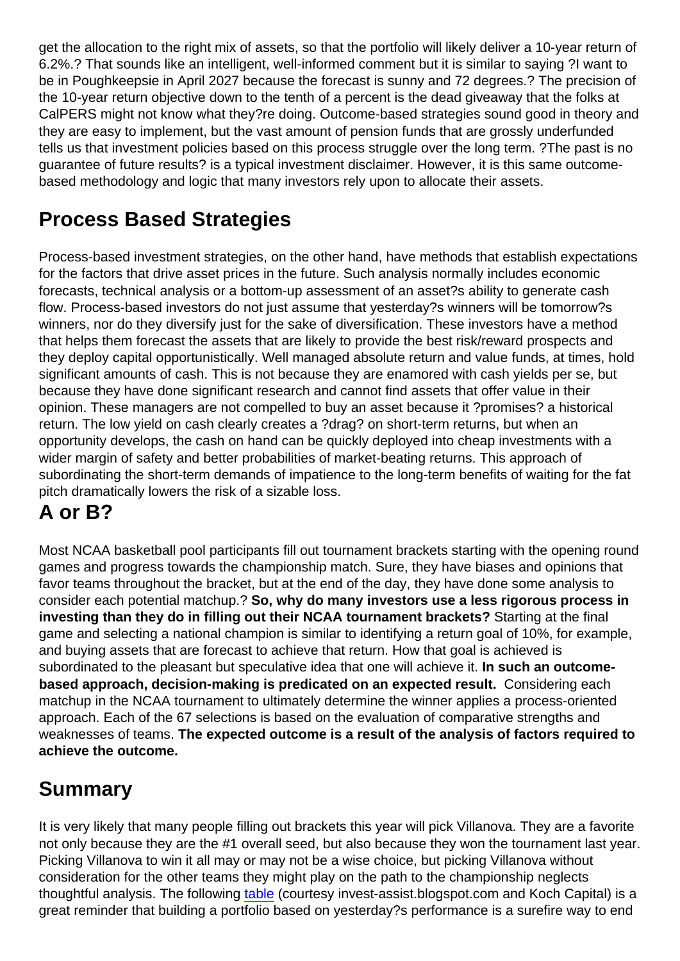get the allocation to the right mix of assets, so that the portfolio will likely deliver a 10-year return of 6.2%.? That sounds like an intelligent, well-informed comment but it is similar to saying ?I want to be in Poughkeepsie in April 2027 because the forecast is sunny and 72 degrees.? The precision of the 10-year return objective down to the tenth of a percent is the dead giveaway that the folks at CalPERS might not know what they?re doing. Outcome-based strategies sound good in theory and they are easy to implement, but the vast amount of pension funds that are grossly underfunded tells us that investment policies based on this process struggle over the long term. ? The past is no guarantee of future results? is a typical investment disclaimer. However, it is this same outcomebased methodology and logic that many investors rely upon to allocate their assets.

## Process Based Strategies

Process-based investment strategies, on the other hand, have methods that establish expectations for the factors that drive asset prices in the future. Such analysis normally includes economic forecasts, technical analysis or a bottom-up assessment of an asset?s ability to generate cash flow. Process-based investors do not just assume that yesterday?s winners will be tomorrow?s winners, nor do they diversify just for the sake of diversification. These investors have a method that helps them forecast the assets that are likely to provide the best risk/reward prospects and they deploy capital opportunistically. Well managed absolute return and value funds, at times, hold significant amounts of cash. This is not because they are enamored with cash yields per se, but because they have done significant research and cannot find assets that offer value in their opinion. These managers are not compelled to buy an asset because it ?promises? a historical return. The low yield on cash clearly creates a ?drag? on short-term returns, but when an opportunity develops, the cash on hand can be quickly deployed into cheap investments with a wider margin of safety and better probabilities of market-beating returns. This approach of subordinating the short-term demands of impatience to the long-term benefits of waiting for the fat pitch dramatically lowers the risk of a sizable loss.

### A or B?

Most NCAA basketball pool participants fill out tournament brackets starting with the opening round games and progress towards the championship match. Sure, they have biases and opinions that favor teams throughout the bracket, but at the end of the day, they have done some analysis to consider each potential matchup.? So, why do many investors use a less rigorous process in investing than they do in filling out their NCAA tournament brackets? Starting at the final game and selecting a national champion is similar to identifying a return goal of 10%, for example, and buying assets that are forecast to achieve that return. How that goal is achieved is subordinated to the pleasant but speculative idea that one will achieve it. In such an outcomebased approach, decision-making is predicated on an expected result. Considering each matchup in the NCAA tournament to ultimately determine the winner applies a process-oriented approach. Each of the 67 selections is based on the evaluation of comparative strengths and weaknesses of teams. The expected outcome is a result of the analysis of factors required to achieve the outcome.

### Summary

It is very likely that many people filling out brackets this year will pick Villanova. They are a favorite not only because they are the #1 overall seed, but also because they won the tournament last year. Picking Villanova to win it all may or may not be a wise choice, but picking Villanova without consideration for the other teams they might play on the path to the championship neglects thoughtful analysis. The following [table](https://docs.google.com/spreadsheets/d/1hNd4QH8GEdIMoz8TqZEWFll5b2pCAB43r5t-w2pt2y8/edit#gid=18) (courtesy invest-assist.blogspot.com and Koch Capital) is a great reminder that building a portfolio based on yesterday?s performance is a surefire way to end